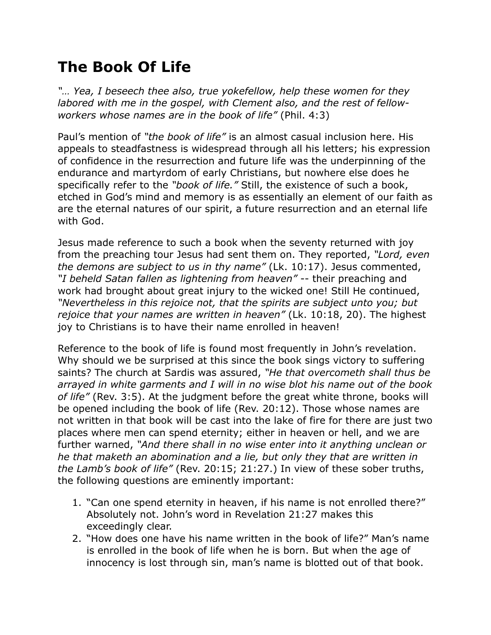## **The Book Of Life**

*"… Yea, I beseech thee also, true yokefellow, help these women for they labored with me in the gospel, with Clement also, and the rest of fellowworkers whose names are in the book of life"* (Phil. 4:3)

Paul's mention of *"the book of life"* is an almost casual inclusion here. His appeals to steadfastness is widespread through all his letters; his expression of confidence in the resurrection and future life was the underpinning of the endurance and martyrdom of early Christians, but nowhere else does he specifically refer to the *"book of life."* Still, the existence of such a book, etched in God's mind and memory is as essentially an element of our faith as are the eternal natures of our spirit, a future resurrection and an eternal life with God.

Jesus made reference to such a book when the seventy returned with joy from the preaching tour Jesus had sent them on. They reported, *"Lord, even the demons are subject to us in thy name"* (Lk. 10:17). Jesus commented, *"I beheld Satan fallen as lightening from heaven"* -- their preaching and work had brought about great injury to the wicked one! Still He continued, *"Nevertheless in this rejoice not, that the spirits are subject unto you; but rejoice that your names are written in heaven"* (Lk. 10:18, 20). The highest joy to Christians is to have their name enrolled in heaven!

Reference to the book of life is found most frequently in John's revelation. Why should we be surprised at this since the book sings victory to suffering saints? The church at Sardis was assured, *"He that overcometh shall thus be arrayed in white garments and I will in no wise blot his name out of the book of life"* (Rev. 3:5). At the judgment before the great white throne, books will be opened including the book of life (Rev. 20:12). Those whose names are not written in that book will be cast into the lake of fire for there are just two places where men can spend eternity; either in heaven or hell, and we are further warned, *"And there shall in no wise enter into it anything unclean or he that maketh an abomination and a lie, but only they that are written in the Lamb's book of life"* (Rev. 20:15; 21:27.) In view of these sober truths, the following questions are eminently important:

- 1. "Can one spend eternity in heaven, if his name is not enrolled there?" Absolutely not. John's word in Revelation 21:27 makes this exceedingly clear.
- 2. "How does one have his name written in the book of life?" Man's name is enrolled in the book of life when he is born. But when the age of innocency is lost through sin, man's name is blotted out of that book.